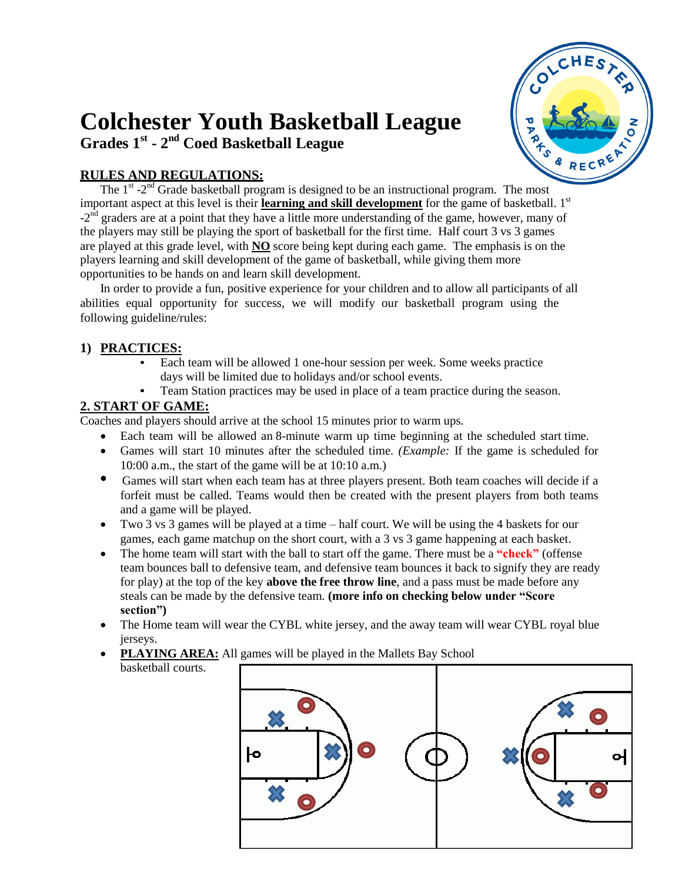# **Colchester Youth Basketball League**



# **Grades 1 st - 2 nd Coed Basketball League**

#### **RULES AND REGULATIONS:**

The  $1<sup>st</sup> - 2<sup>nd</sup>$  Grade basketball program is designed to be an instructional program. The most important aspect at this level is their **learning and skill development** for the game of basketball. 1<sup>st</sup>  $-2<sup>nd</sup>$  graders are at a point that they have a little more understanding of the game, however, many of the players may still be playing the sport of basketball for the first time. Half court 3 vs 3 games are played at this grade level, with **NO** score being kept during each game. The emphasis is on the players learning and skill development of the game of basketball, while giving them more opportunities to be hands on and learn skill development.

In order to provide a fun, positive experience for your children and to allow all participants of all abilities equal opportunity for success, we will modify our basketball program using the following guideline/rules:

#### **1) PRACTICES:**

- Each team will be allowed 1 one-hour session per week. Some weeks practice days will be limited due to holidays and/or school events.
- Team Station practices may be used in place of a team practice during the season.

# **2. START OF GAME:**

basketball courts.

Coaches and players should arrive at the school 15 minutes prior to warm ups.

- Each team will be allowed an 8-minute warm up time beginning at the scheduled start time.
- Games will start 10 minutes after the scheduled time*. (Example:* If the game is scheduled for 10:00 a.m., the start of the game will be at 10:10 a.m.)
- Games will start when each team has at three players present. Both team coaches will decide if a forfeit must be called. Teams would then be created with the present players from both teams and a game will be played.
- Two 3 vs 3 games will be played at a time half court. We will be using the 4 baskets for our games, each game matchup on the short court, with a 3 vs 3 game happening at each basket.
- The home team will start with the ball to start off the game. There must be a **"check"** (offense team bounces ball to defensive team, and defensive team bounces it back to signify they are ready for play) at the top of the key **above the free throw line**, and a pass must be made before any steals can be made by the defensive team. **(more info on checking below under "Score section")**
- The Home team will wear the CYBL white jersey, and the away team will wear CYBL royal blue jerseys.
- PLAYING AREA: All games will be played in the Mallets Bay School

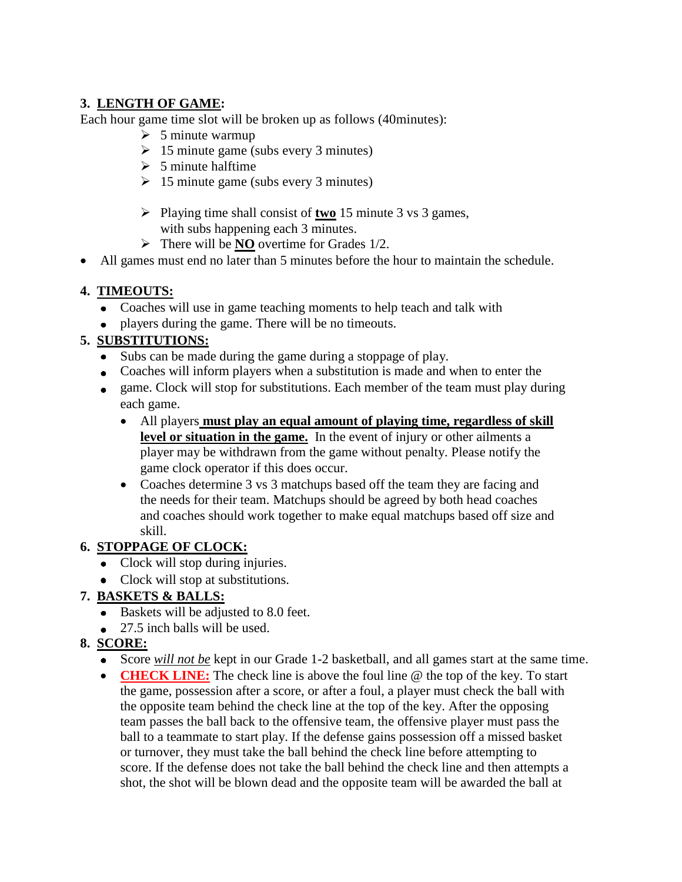### **3. LENGTH OF GAME:**

Each hour game time slot will be broken up as follows (40minutes):

- $\geq 5$  minute warmup
- $\geq 15$  minute game (subs every 3 minutes)
- $> 5$  minute halftime
- $\geq 15$  minute game (subs every 3 minutes)
- Playing time shall consist of **two** 15 minute 3 vs 3 games, with subs happening each 3 minutes.
- $\triangleright$  There will be **NO** overtime for Grades 1/2.
- All games must end no later than 5 minutes before the hour to maintain the schedule.

#### **4. TIMEOUTS:**

- Coaches will use in game teaching moments to help teach and talk with
- players during the game. There will be no timeouts.

#### **5. SUBSTITUTIONS:**

- Subs can be made during the game during a stoppage of play.
- Coaches will inform players when a substitution is made and when to enter the
- game. Clock will stop for substitutions. Each member of the team must play during each game.
	- All players **must play an equal amount of playing time, regardless of skill level or situation in the game.** In the event of injury or other ailments a player may be withdrawn from the game without penalty. Please notify the game clock operator if this does occur.
	- Coaches determine 3 vs 3 matchups based off the team they are facing and the needs for their team. Matchups should be agreed by both head coaches and coaches should work together to make equal matchups based off size and skill.

#### **6. STOPPAGE OF CLOCK:**

- Clock will stop during injuries.
- Clock will stop at substitutions.

#### **7. BASKETS & BALLS:**

- Baskets will be adjusted to 8.0 feet.
- $\bullet$  27.5 inch balls will be used.

#### **8. SCORE:**

- Score *will not be* kept in our Grade 1-2 basketball, and all games start at the same time.
- **CHECK LINE:** The check line is above the foul line @ the top of the key. To start the game, possession after a score, or after a foul, a player must check the ball with the opposite team behind the check line at the top of the key. After the opposing team passes the ball back to the offensive team, the offensive player must pass the ball to a teammate to start play. If the defense gains possession off a missed basket or turnover, they must take the ball behind the check line before attempting to score. If the defense does not take the ball behind the check line and then attempts a shot, the shot will be blown dead and the opposite team will be awarded the ball at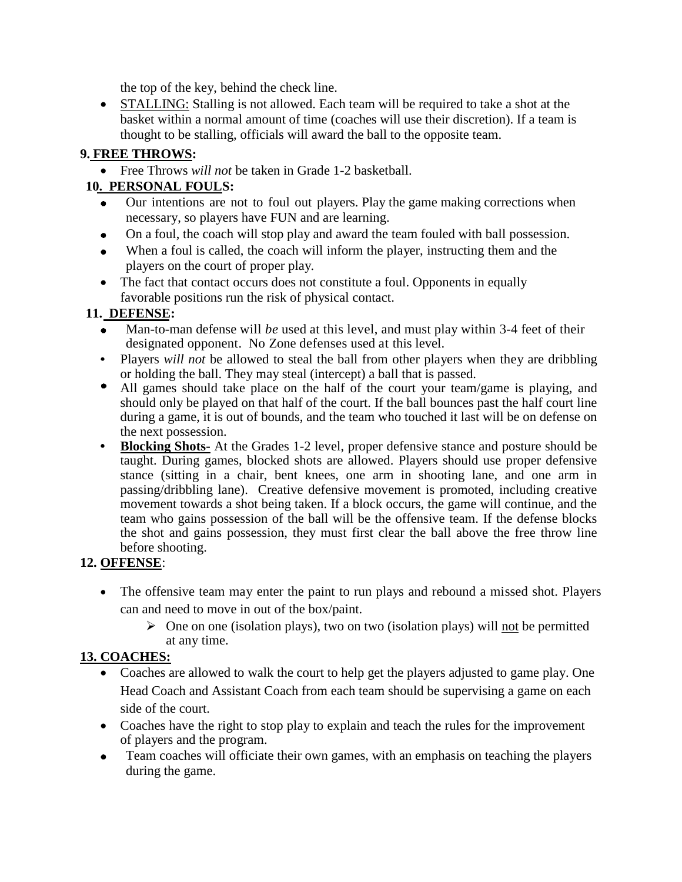the top of the key, behind the check line.

 STALLING: Stalling is not allowed. Each team will be required to take a shot at the basket within a normal amount of time (coaches will use their discretion). If a team is thought to be stalling, officials will award the ball to the opposite team.

# **9. FREE THROWS:**

Free Throws *will not* be taken in Grade 1-2 basketball.

# **10. PERSONAL FOULS:**

- Our intentions are not to foul out players. Play the game making corrections when necessary, so players have FUN and are learning.
- On a foul, the coach will stop play and award the team fouled with ball possession.  $\bullet$
- When a foul is called, the coach will inform the player, instructing them and the  $\bullet$ players on the court of proper play.
- The fact that contact occurs does not constitute a foul. Opponents in equally favorable positions run the risk of physical contact.

# **11. DEFENSE:**

- Man-to-man defense will *be* used at this level, and must play within 3-4 feet of their designated opponent. No Zone defenses used at this level.
- Players *will not* be allowed to steal the ball from other players when they are dribbling or holding the ball. They may steal (intercept) a ball that is passed.
- All games should take place on the half of the court your team/game is playing, and should only be played on that half of the court. If the ball bounces past the half court line during a game, it is out of bounds, and the team who touched it last will be on defense on the next possession.
- $\bullet$ **Blocking Shots-** At the Grades 1-2 level, proper defensive stance and posture should be taught. During games, blocked shots are allowed. Players should use proper defensive stance (sitting in a chair, bent knees, one arm in shooting lane, and one arm in passing/dribbling lane). Creative defensive movement is promoted, including creative movement towards a shot being taken. If a block occurs, the game will continue, and the team who gains possession of the ball will be the offensive team. If the defense blocks the shot and gains possession, they must first clear the ball above the free throw line before shooting.

# **12. OFFENSE**:

- The offensive team may enter the paint to run plays and rebound a missed shot. Players can and need to move in out of the box/paint.
	- $\triangleright$  One on one (isolation plays), two on two (isolation plays) will not be permitted at any time.

# **13. COACHES:**

- Coaches are allowed to walk the court to help get the players adjusted to game play. One Head Coach and Assistant Coach from each team should be supervising a game on each side of the court.
- Coaches have the right to stop play to explain and teach the rules for the improvement of players and the program.
- Team coaches will officiate their own games, with an emphasis on teaching the players during the game.